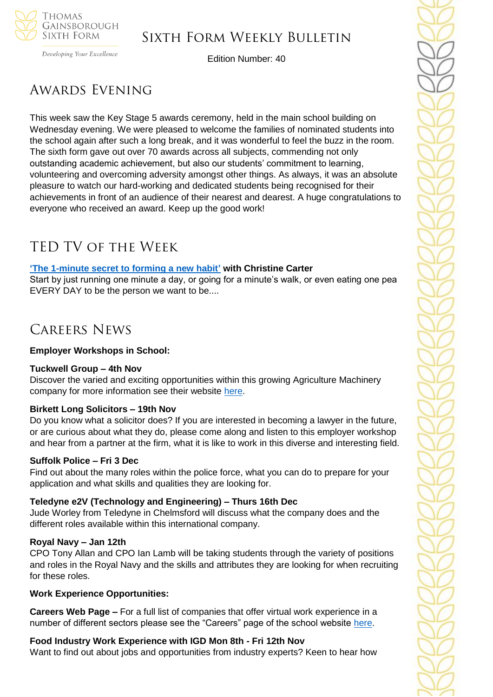

## Sixth Form Weekly Bulletin

Developing Your Excellence

Edition Number: 40

# Awards Evening

This week saw the Key Stage 5 awards ceremony, held in the main school building on Wednesday evening. We were pleased to welcome the families of nominated students into the school again after such a long break, and it was wonderful to feel the buzz in the room. The sixth form gave out over 70 awards across all subjects, commending not only outstanding academic achievement, but also our students' commitment to learning, volunteering and overcoming adversity amongst other things. As always, it was an absolute pleasure to watch our hard-working and dedicated students being recognised for their achievements in front of an audience of their nearest and dearest. A huge congratulations to everyone who received an award. Keep up the good work!

# TED TV of the Week

## **['The 1-minute secret to forming a new habit'](https://www.youtube.com/watch?v=EvGkSEuWtaI) with Christine Carter**

Start by just running one minute a day, or going for a minute's walk, or even eating one pea EVERY DAY to be the person we want to be....

## Careers News

## **Employer Workshops in School:**

## **Tuckwell Group – 4th Nov**

Discover the varied and exciting opportunities within this growing Agriculture Machinery company for more information see their website [here.](https://www.tuckwells.com/tuckwell-careers/)

## **Birkett Long Solicitors – 19th Nov**

Do you know what a solicitor does? If you are interested in becoming a lawyer in the future, or are curious about what they do, please come along and listen to this employer workshop and hear from a partner at the firm, what it is like to work in this diverse and interesting field.

## **Suffolk Police – Fri 3 Dec**

Find out about the many roles within the police force, what you can do to prepare for your application and what skills and qualities they are looking for.

## **Teledyne e2V (Technology and Engineering) – Thurs 16th Dec**

Jude Worley from Teledyne in Chelmsford will discuss what the company does and the different roles available within this international company.

## **Royal Navy – Jan 12th**

CPO Tony Allan and CPO Ian Lamb will be taking students through the variety of positions and roles in the Royal Navy and the skills and attributes they are looking for when recruiting for these roles.

## **Work Experience Opportunities:**

**Careers Web Page –** For a full list of companies that offer virtual work experience in a number of different sectors please see the "Careers" page of the school website [here.](https://tgschool.net/careers)

## **Food Industry Work Experience with IGD Mon 8th - Fri 12th Nov**

Want to find out about jobs and opportunities from industry experts? Keen to hear how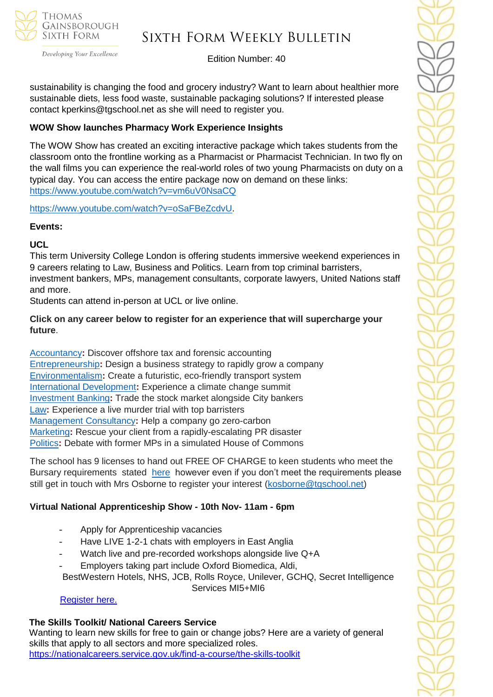

Developing Your Excellence

# Sixth Form Weekly Bulletin

Edition Number: 40

sustainability is changing the food and grocery industry? Want to learn about healthier more sustainable diets, less food waste, sustainable packaging solutions? If interested please contact kperkins@tgschool.net as she will need to register you.

## **WOW Show launches Pharmacy Work Experience Insights**

The WOW Show has created an exciting interactive package which takes students from the classroom onto the frontline working as a Pharmacist or Pharmacist Technician. In two fly on the wall films you can experience the real-world roles of two young Pharmacists on duty on a typical day. You can access the entire package now on demand on these links: <https://www.youtube.com/watch?v=vm6uV0NsaCQ>

[https://www.youtube.com/watch?v=oSaFBeZcdvU.](https://www.youtube.com/watch?v=oSaFBeZcdvU)

## **Events:**

## **UCL**

This term University College London is offering students immersive weekend experiences in 9 careers relating to Law, Business and Politics. Learn from top criminal barristers, investment bankers, MPs, management consultants, corporate lawyers, United Nations staff and more.

Students can attend in-person at UCL or live online.

## **Click on any career below to register for an experience that will supercharge your future**.

[Accountancy](https://investin.us6.list-manage.com/track/click?u=42ef3d3a89e86b8375cadb9aa&id=50fbdc8789&e=894e4199ae)**:** Discover offshore tax and forensic accounting [Entrepreneurship](https://investin.us6.list-manage.com/track/click?u=42ef3d3a89e86b8375cadb9aa&id=33b53e1e98&e=894e4199ae)**:** Design a business strategy to rapidly grow a company [Environmentalism](https://investin.us6.list-manage.com/track/click?u=42ef3d3a89e86b8375cadb9aa&id=2d29b2354b&e=894e4199ae)**:** Create a futuristic, eco-friendly transport system [International Development](https://investin.us6.list-manage.com/track/click?u=42ef3d3a89e86b8375cadb9aa&id=a0cac68923&e=894e4199ae)**:** Experience a climate change summit [Investment Banking](https://investin.us6.list-manage.com/track/click?u=42ef3d3a89e86b8375cadb9aa&id=e39aef2961&e=894e4199ae)**:** Trade the stock market alongside City bankers [Law](https://investin.us6.list-manage.com/track/click?u=42ef3d3a89e86b8375cadb9aa&id=15cecd425b&e=894e4199ae)**:** Experience a live murder trial with top barristers [Management Consultancy](https://investin.us6.list-manage.com/track/click?u=42ef3d3a89e86b8375cadb9aa&id=4304ae2fdb&e=894e4199ae)**:** Help a company go zero-carbon [Marketing](https://investin.us6.list-manage.com/track/click?u=42ef3d3a89e86b8375cadb9aa&id=bea59f6e1f&e=894e4199ae)**:** Rescue your client from a rapidly-escalating PR disaster [Politics](https://investin.us6.list-manage.com/track/click?u=42ef3d3a89e86b8375cadb9aa&id=377be42c59&e=894e4199ae)**:** Debate with former MPs in a simulated House of Commons

The school has 9 licenses to hand out FREE OF CHARGE to keen students who meet the Bursary requirements stated [here](https://investin.org/pages/bursaries) however even if you don't meet the requirements please still get in touch with Mrs Osborne to register your interest [\(kosborne@tgschool.net\)](mailto:kosborne@tgschool.net)

## **Virtual National Apprenticeship Show - 10th Nov- 11am - 6pm**

- Apply for Apprenticeship vacancies
- Have LIVE 1-2-1 chats with employers in East Anglia
- Watch live and pre-recorded workshops alongside live Q+A
- Employers taking part include Oxford Biomedica, Aldi,

BestWestern Hotels, NHS, JCB, Rolls Royce, Unilever, GCHQ, Secret Intelligence Services MI5+MI6

[Register here.](https://nascentral.vfairs.com/en/register)

## **The Skills Toolkit/ National Careers Service**

Wanting to learn new skills for free to gain or change jobs? Here are a variety of general skills that apply to all sectors and more specialized roles. <https://nationalcareers.service.gov.uk/find-a-course/the-skills-toolkit>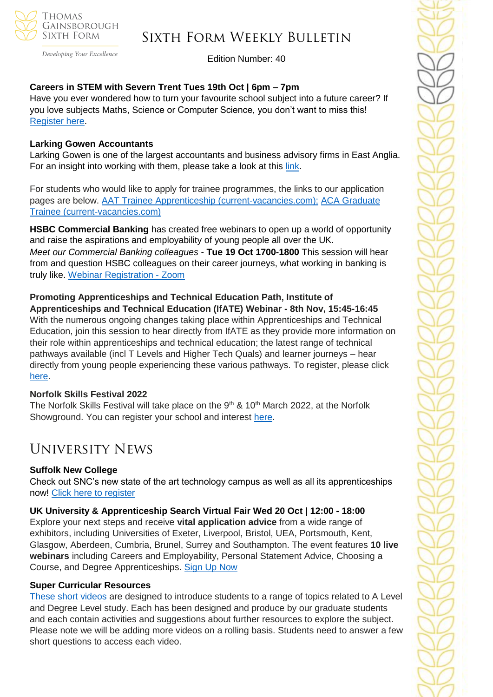

Developing Your Excellence

## Sixth Form Weekly Bulletin

Edition Number: 40

## **Careers in STEM with Severn Trent Tues 19th Oct | 6pm – 7pm**

Have you ever wondered how to turn your favourite school subject into a future career? If you love subjects Maths, Science or Computer Science, you don't want to miss this! [Register here.](https://pathwayctm.com/event/careers-in-stem-with-severn-trent/)

#### **Larking Gowen Accountants**

Larking Gowen is one of the largest accountants and business advisory firms in East Anglia. For an insight into working with them, please take a look at this [link.](https://www.youtube.com/watch?v=egiKOM3Zytk&t=3s)

For students who would like to apply for trainee programmes, the links to our application pages are below. [AAT Trainee Apprenticeship \(current-vacancies.com\);](https://larking-gowen.current-vacancies.com/Jobs/Advert/2360031?cid=2042&t=AAT-Trainee-Apprenticeship) [ACA Graduate](https://larking-gowen.current-vacancies.com/Jobs/Advert/2360071?cid=2042&t=ACA-Graduate-Trainee-)  [Trainee \(current-vacancies.com\)](https://larking-gowen.current-vacancies.com/Jobs/Advert/2360071?cid=2042&t=ACA-Graduate-Trainee-)

**HSBC Commercial Banking** has created free webinars to open up a world of opportunity and raise the aspirations and employability of young people all over the UK. *Meet our Commercial Banking colleagues* - **Tue 19 Oct 1700-1800** This session will hear from and question HSBC colleagues on their career journeys, what working in banking is truly like. [Webinar Registration -](https://hsbc.zoom.us/webinar/register/WN_f6PJFLrnT4Sdw9KE8Gw9PA) Zoom

**Promoting Apprenticeships and Technical Education Path, Institute of Apprenticeships and Technical Education (IfATE) Webinar - 8th Nov, 15:45-16:45** With the numerous ongoing changes taking place within Apprenticeships and Technical Education, join this session to hear directly from IfATE as they provide more information on their role within apprenticeships and technical education; the latest range of technical pathways available (incl T Levels and Higher Tech Quals) and learner journeys – hear directly from young people experiencing these various pathways. To register, please click [here.](https://us06web.zoom.us/webinar/register/WN_tn5OiwvGQbikcOVdJkfZIw)

#### **Norfolk Skills Festival 2022**

The Norfolk Skills Festival will take place on the  $9<sup>th</sup>$  & 10<sup>th</sup> March 2022, at the Norfolk Showground. You can register your school and interest [here.](https://norfolkskills.co.uk/)

## University News

## **Suffolk New College**

Check out SNC's new state of the art technology campus as well as all its apprenticeships now! [Click here to register](https://www.suffolk.ac.uk/for-parents/taster-events)

**UK University & Apprenticeship Search Virtual Fair Wed 20 Oct | 12:00 - 18:00** Explore your next steps and receive **vital application advice** from a wide range of exhibitors, including Universities of Exeter, Liverpool, Bristol, UEA, Portsmouth, Kent, Glasgow, Aberdeen, Cumbria, Brunel, Surrey and Southampton. The event features **10 live webinars** including Careers and Employability, Personal Statement Advice, Choosing a Course, and Degree Apprenticeships. [Sign Up Now](http://ukunisearch.vfairs.com/)

#### **Super Curricular Resources**

[These short videos](https://www.ox.ac.uk/oxfordforEE/springboard) are designed to introduce students to a range of topics related to A Level and Degree Level study. Each has been designed and produce by our graduate students and each contain activities and suggestions about further resources to explore the subject. Please note we will be adding more videos on a rolling basis. Students need to answer a few short questions to access each video.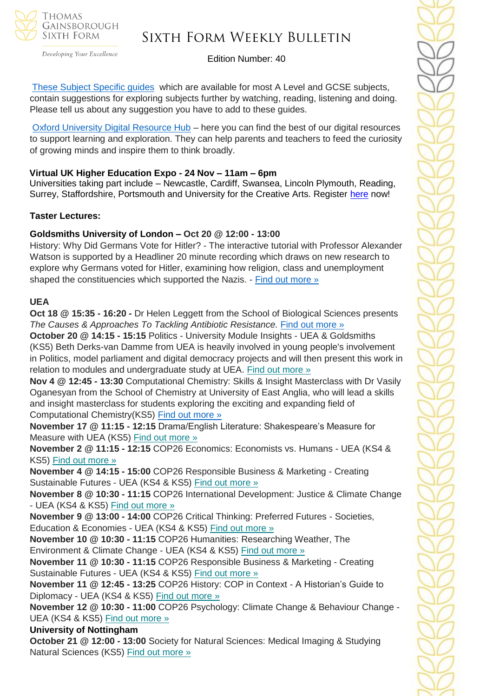

Developing Your Excellence

## Sixth Form Weekly Bulletin

Edition Number: 40

These Subject [Specific guides](https://www.balliol.ox.ac.uk/admissions/schools-and-outreach/resources-for-schools-and-prospective-applicants) which are available for most A Level and GCSE subjects, contain suggestions for exploring subjects further by watching, reading, listening and doing. Please tell us about any suggestion you have to add to these guides.

[Oxford University Digital Resource Hub](https://www.ox.ac.uk/admissions/undergraduate/increasing-access/ug-digital-resources) – here you can find the best of our digital resources to support learning and exploration. They can help parents and teachers to feed the curiosity of growing minds and inspire them to think broadly.

## **Virtual UK Higher Education Expo - 24 Nov – 11am – 6pm**

Universities taking part include – Newcastle, Cardiff, Swansea, Lincoln Plymouth, Reading, Surrey, Staffordshire, Portsmouth and University for the Creative Arts. Register [here](https://schools.tecl.co.uk/educationcompany5lz/lz.aspx?p1=M8IDU2MTI3MDk0UzQ2NjE6RDIxQTA4NTgzOUYwRDVFMjM2MzFDQjQyNjdBMTVBREQ%3d-&CC=&w=7191) now!

#### **Taster Lectures:**

## **Goldsmiths University of London – Oct 20 @ 12:00 - 13:00**

History: Why Did Germans Vote for Hitler? - The interactive tutorial with Professor Alexander Watson is supported by a Headliner 20 minute recording which draws on new research to explore why Germans voted for Hitler, examining how religion, class and unemployment shaped the constituencies which supported the Nazis. - [Find out more »](https://channeltalent.us10.list-manage.com/track/click?u=145837fa6843e0c349598322a&id=2b02be53d3&e=155232616c)

#### **UEA**

**Oct 18 @ 15:35 - 16:20 -** Dr Helen Leggett from the School of Biological Sciences presents *The Causes & Approaches To Tackling Antibiotic Resistance.* [Find out more »](https://channeltalent.us10.list-manage.com/track/click?u=145837fa6843e0c349598322a&id=d46a7c4de4&e=ba0e9a2959)

**October 20 @ 14:15 - 15:15** Politics - University Module Insights - UEA & Goldsmiths (KS5) Beth Derks-van Damme from UEA is heavily involved in young people's involvement in Politics, model parliament and digital democracy projects and will then present this work in relation to modules and undergraduate study at UEA. Find out [more](https://channeltalent.us10.list-manage.com/track/click?u=145837fa6843e0c349598322a&id=d7baee23b6&e=ba0e9a2959) »

**Nov 4 @ 12:45 - 13:30** Computational Chemistry: Skills & Insight Masterclass with Dr Vasily Oganesyan from the School of Chemistry at University of East Anglia, who will lead a skills and insight masterclass for students exploring the exciting and expanding field of Computational Chemistry(KS5) [Find out more »](https://channeltalent.us10.list-manage.com/track/click?u=145837fa6843e0c349598322a&id=e978a3fb0a&e=155232616c)

**November 17 @ 11:15 - 12:15** Drama/English Literature: Shakespeare's Measure for Measure with UEA (KS5) Find out [more](https://channeltalent.us10.list-manage.com/track/click?u=145837fa6843e0c349598322a&id=d5850bb910&e=155232616c) »

**November 2 @ 11:15 - 12:15** COP26 Economics: Economists vs. Humans - UEA (KS4 & KS5) Find out [more](https://channeltalent.us10.list-manage.com/track/click?u=145837fa6843e0c349598322a&id=9c7d5046ad&e=155232616c) »

**November 4 @ 14:15 - 15:00** COP26 Responsible Business & Marketing - Creating Sustainable Futures - UEA (KS4 & KS5) Find out [more](https://channeltalent.us10.list-manage.com/track/click?u=145837fa6843e0c349598322a&id=5e38111980&e=155232616c) »

**November 8 @ 10:30 - 11:15** COP26 International Development: Justice & Climate Change - UEA (KS4 & KS5) Find out [more](https://channeltalent.us10.list-manage.com/track/click?u=145837fa6843e0c349598322a&id=7e4fcd1797&e=155232616c) »

**November 9 @ 13:00 - 14:00** COP26 Critical Thinking: Preferred Futures - Societies, Education & Economies - UEA (KS4 & KS5) Find out [more](https://channeltalent.us10.list-manage.com/track/click?u=145837fa6843e0c349598322a&id=5abd931332&e=155232616c) »

**November 10 @ 10:30 - 11:15** COP26 Humanities: Researching Weather, The Environment & Climate Change - UEA (KS4 & KS5) Find out [more](https://channeltalent.us10.list-manage.com/track/click?u=145837fa6843e0c349598322a&id=ff697516d5&e=155232616c) »

**November 11 @ 10:30 - 11:15** COP26 Responsible Business & Marketing - Creating Sustainable Futures - UEA (KS4 & KS5) Find out [more](https://channeltalent.us10.list-manage.com/track/click?u=145837fa6843e0c349598322a&id=2bb2ff4597&e=155232616c) »

**November 11 @ 12:45 - 13:25** COP26 History: COP in Context - A Historian's Guide to Diplomacy - UEA (KS4 & KS5) Find out [more](https://channeltalent.us10.list-manage.com/track/click?u=145837fa6843e0c349598322a&id=44cc570dc5&e=155232616c) »

**November 12 @ 10:30 - 11:00** COP26 Psychology: Climate Change & Behaviour Change - UEA (KS4 & KS5) Find out [more](https://channeltalent.us10.list-manage.com/track/click?u=145837fa6843e0c349598322a&id=477a8837c2&e=155232616c) »

## **University of Nottingham**

**October 21 @ 12:00 - 13:00** Society for Natural Sciences: Medical Imaging & Studying Natural Sciences (KS5) Find out [more](https://channeltalent.us10.list-manage.com/track/click?u=145837fa6843e0c349598322a&id=b49a47c4bc&e=155232616c) »